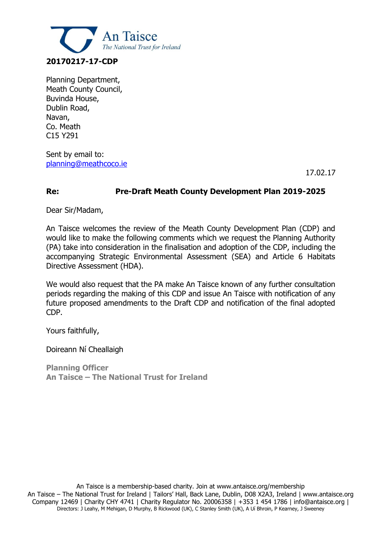

Planning Department, Meath County Council, Buvinda House, Dublin Road, Navan, Co. Meath C15 Y291

Sent by email to: [planning@meathcoco.ie](mailto:planning@meathcoco.ie)

17.02.17

#### **Re: Pre-Draft Meath County Development Plan 2019-2025**

Dear Sir/Madam,

An Taisce welcomes the review of the Meath County Development Plan (CDP) and would like to make the following comments which we request the Planning Authority (PA) take into consideration in the finalisation and adoption of the CDP, including the accompanying Strategic Environmental Assessment (SEA) and Article 6 Habitats Directive Assessment (HDA).

We would also request that the PA make An Taisce known of any further consultation periods regarding the making of this CDP and issue An Taisce with notification of any future proposed amendments to the Draft CDP and notification of the final adopted CDP.

Yours faithfully,

Doireann Ní Cheallaigh

**Planning Officer An Taisce – The National Trust for Ireland**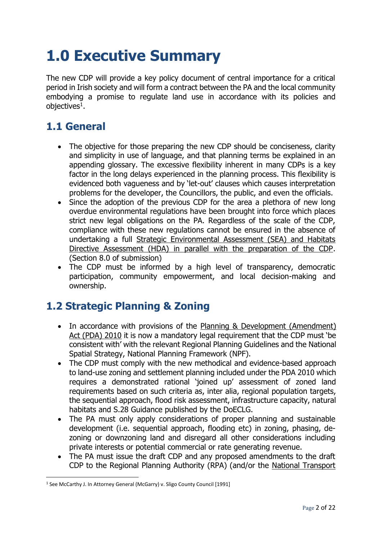# **1.0 Executive Summary**

The new CDP will provide a key policy document of central importance for a critical period in Irish society and will form a contract between the PA and the local community embodying a promise to regulate land use in accordance with its policies and objectives $^1\!\!$  .

## **1.1 General**

- The objective for those preparing the new CDP should be conciseness, clarity and simplicity in use of language, and that planning terms be explained in an appending glossary. The excessive flexibility inherent in many CDPs is a key factor in the long delays experienced in the planning process. This flexibility is evidenced both vagueness and by 'let-out' clauses which causes interpretation problems for the developer, the Councillors, the public, and even the officials.
- Since the adoption of the previous CDP for the area a plethora of new long overdue environmental regulations have been brought into force which places strict new legal obligations on the PA. Regardless of the scale of the CDP, compliance with these new regulations cannot be ensured in the absence of undertaking a full Strategic Environmental Assessment (SEA) and Habitats Directive Assessment (HDA) in parallel with the preparation of the CDP. (Section 8.0 of submission)
- The CDP must be informed by a high level of transparency, democratic participation, community empowerment, and local decision-making and ownership.

## **1.2 Strategic Planning & Zoning**

- In accordance with provisions of the Planning & Development (Amendment) [Act \(PDA\) 2010](http://www.environ.ie/en/Legislation/DevelopmentandHousing/Planning/FileDownLoad,25759,en.pdf) it is now a mandatory legal requirement that the CDP must 'be consistent with' with the relevant Regional Planning Guidelines and the National Spatial Strategy, National Planning Framework (NPF).
- The CDP must comply with the new methodical and evidence-based approach to land-use zoning and settlement planning included under the PDA 2010 which requires a demonstrated rational 'joined up' assessment of zoned land requirements based on such criteria as, inter alia, regional population targets, the sequential approach, flood risk assessment, infrastructure capacity, natural habitats and S.28 Guidance published by the DoECLG.
- The PA must only apply considerations of proper planning and sustainable development (i.e. sequential approach, flooding etc) in zoning, phasing, dezoning or downzoning land and disregard all other considerations including private interests or potential commercial or rate generating revenue.
- The PA must issue the draft CDP and any proposed amendments to the draft CDP to the Regional Planning Authority (RPA) (and/or the [National Transport](http://www.nationaltransport.ie/)

 $\overline{a}$ 

<sup>&</sup>lt;sup>1</sup> See McCarthy J. In Attorney General (McGarry) v. Sligo County Council [1991]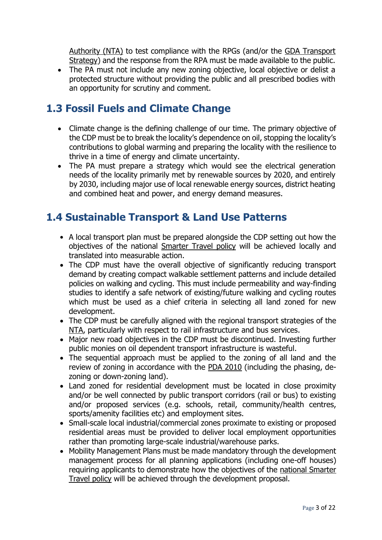[Authority \(NTA\)](http://www.nationaltransport.ie/) to test compliance with the RPGs (and/or the [GDA Transport](http://www.nationaltransport.ie/plans.html)  [Strategy\)](http://www.nationaltransport.ie/plans.html) and the response from the RPA must be made available to the public.

• The PA must not include any new zoning objective, local objective or delist a protected structure without providing the public and all prescribed bodies with an opportunity for scrutiny and comment.

## **1.3 Fossil Fuels and Climate Change**

- Climate change is the defining challenge of our time. The primary objective of the CDP must be to break the locality's dependence on oil, stopping the locality's contributions to global warming and preparing the locality with the resilience to thrive in a time of energy and climate uncertainty.
- The PA must prepare a strategy which would see the electrical generation needs of the locality primarily met by renewable sources by 2020, and entirely by 2030, including major use of local renewable energy sources, district heating and combined heat and power, and energy demand measures.

## **1.4 Sustainable Transport & Land Use Patterns**

- A local transport plan must be prepared alongside the CDP setting out how the objectives of the national [Smarter Travel policy](http://www.smartertravel.ie/smarter-travel-policy-document) will be achieved locally and translated into measurable action.
- The CDP must have the overall objective of significantly reducing transport demand by creating compact walkable settlement patterns and include detailed policies on walking and cycling. This must include permeability and way-finding studies to identify a safe network of existing/future walking and cycling routes which must be used as a chief criteria in selecting all land zoned for new development.
- The CDP must be carefully aligned with the regional transport strategies of the [NTA,](http://www.nationaltransport.ie/) particularly with respect to rail infrastructure and bus services.
- Major new road objectives in the CDP must be discontinued. Investing further public monies on oil dependent transport infrastructure is wasteful.
- The sequential approach must be applied to the zoning of all land and the review of zoning in accordance with the [PDA 2010](http://www.environ.ie/en/Legislation/DevelopmentandHousing/Planning/FileDownLoad,25759,en.pdf) (including the phasing, dezoning or down-zoning land).
- Land zoned for residential development must be located in close proximity and/or be well connected by public transport corridors (rail or bus) to existing and/or proposed services (e.g. schools, retail, community/health centres, sports/amenity facilities etc) and employment sites.
- Small-scale local industrial/commercial zones proximate to existing or proposed residential areas must be provided to deliver local employment opportunities rather than promoting large-scale industrial/warehouse parks.
- Mobility Management Plans must be made mandatory through the development management process for all planning applications (including one-off houses) requiring applicants to demonstrate how the objectives of the [national Smarter](http://www.smartertravel.ie/smarter-travel-policy-document)  [Travel policy](http://www.smartertravel.ie/smarter-travel-policy-document) will be achieved through the development proposal.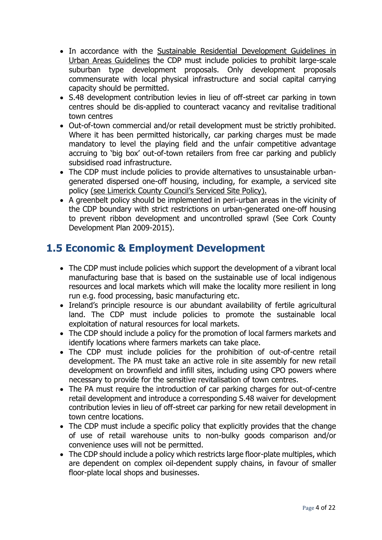- In accordance with the Sustainable Residential Development Guidelines in [Urban Areas Guidelines](http://www.environ.ie/en/Publications/DevelopmentandHousing/Planning/FileDownLoad,19164,en.pdf) the CDP must include policies to prohibit large-scale suburban type development proposals. Only development proposals commensurate with local physical infrastructure and social capital carrying capacity should be permitted.
- S.48 development contribution levies in lieu of off-street car parking in town centres should be dis-applied to counteract vacancy and revitalise traditional town centres
- Out-of-town commercial and/or retail development must be strictly prohibited. Where it has been permitted historically, car parking charges must be made mandatory to level the playing field and the unfair competitive advantage accruing to 'big box' out-of-town retailers from free car parking and publicly subsidised road infrastructure.
- The CDP must include policies to provide alternatives to unsustainable urbangenerated dispersed one-off housing, including, for example, a serviced site policy ([see Limerick County Council's Serviced Site Policy](http://www.lcc.ie/Planning/Serviced_Residential_Sites_in_Towns_and_Villages)).
- A greenbelt policy should be implemented in peri-urban areas in the vicinity of the CDP boundary with strict restrictions on urban-generated one-off housing to prevent ribbon development and uncontrolled sprawl (See Cork County Development Plan 2009-2015).

## **1.5 Economic & Employment Development**

- The CDP must include policies which support the development of a vibrant local manufacturing base that is based on the sustainable use of local indigenous resources and local markets which will make the locality more resilient in long run e.g. food processing, basic manufacturing etc.
- Ireland's principle resource is our abundant availability of fertile agricultural land. The CDP must include policies to promote the sustainable local exploitation of natural resources for local markets.
- The CDP should include a policy for the promotion of local farmers markets and identify locations where farmers markets can take place.
- The CDP must include policies for the prohibition of out-of-centre retail development. The PA must take an active role in site assembly for new retail development on brownfield and infill sites, including using CPO powers where necessary to provide for the sensitive revitalisation of town centres.
- The PA must require the introduction of car parking charges for out-of-centre retail development and introduce a corresponding S.48 waiver for development contribution levies in lieu of off-street car parking for new retail development in town centre locations.
- The CDP must include a specific policy that explicitly provides that the change of use of retail warehouse units to non-bulky goods comparison and/or convenience uses will not be permitted.
- The CDP should include a policy which restricts large floor-plate multiples, which are dependent on complex oil-dependent supply chains, in favour of smaller floor-plate local shops and businesses.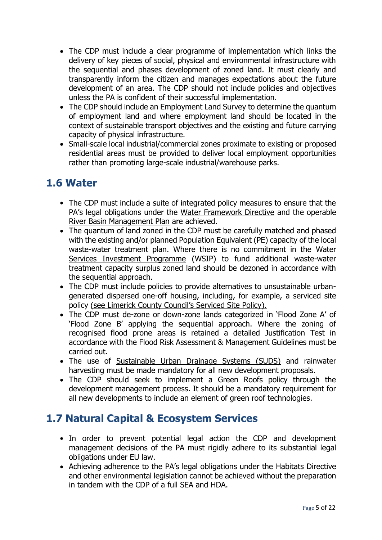- The CDP must include a clear programme of implementation which links the delivery of key pieces of social, physical and environmental infrastructure with the sequential and phases development of zoned land. It must clearly and transparently inform the citizen and manages expectations about the future development of an area. The CDP should not include policies and objectives unless the PA is confident of their successful implementation.
- The CDP should include an Employment Land Survey to determine the quantum of employment land and where employment land should be located in the context of sustainable transport objectives and the existing and future carrying capacity of physical infrastructure.
- Small-scale local industrial/commercial zones proximate to existing or proposed residential areas must be provided to deliver local employment opportunities rather than promoting large-scale industrial/warehouse parks.

## **1.6 Water**

- The CDP must include a suite of integrated policy measures to ensure that the PA's legal obligations under the [Water Framework Directive](http://www.wfdireland.ie/) and the operable [River Basin Management Plan](http://www.wfdireland.ie/documents.html) are achieved.
- The quantum of land zoned in the CDP must be carefully matched and phased with the existing and/or planned Population Equivalent (PE) capacity of the local waste-water treatment plan. Where there is no commitment in the [Water](http://www.environ.ie/en/Environment/Water/WaterServices/WaterServicesInvestmentProgramme/PublicationsDocuments/FileDownLoad,22735,en.pdf)  [Services Investment Programme](http://www.environ.ie/en/Environment/Water/WaterServices/WaterServicesInvestmentProgramme/PublicationsDocuments/FileDownLoad,22735,en.pdf) (WSIP) to fund additional waste-water treatment capacity surplus zoned land should be dezoned in accordance with the sequential approach.
- The CDP must include policies to provide alternatives to unsustainable urbangenerated dispersed one-off housing, including, for example, a serviced site policy [\(see Limerick County Cou](http://www.lcc.ie/Planning/Serviced_Residential_Sites_in_Towns_and_Villages)ncil's Serviced Site Policy).
- The CDP must de-zone or down-zone lands categorized in 'Flood Zone A' of 'Flood Zone B' applying the sequential approach. Where the zoning of recognised flood prone areas is retained a detailed Justification Test in accordance with the [Flood Risk Assessment & Management Guidelines](http://www.environ.ie/en/DevelopmentHousing/PlanningDevelopment/NationalSpatialStrategy/News/MainBody,18440,en.htm) must be carried out.
- The use of [Sustainable Urban Drainage Systems \(SUDS\)](http://www.dublincity.ie/WaterWasteEnvironment/WasteWater/Drainage/GreaterDublinStrategicDrainageStudy/pages/regionaldrainagepolicies-overallpolicydocument.aspx) and rainwater harvesting must be made mandatory for all new development proposals.
- The CDP should seek to implement a Green Roofs policy through the development management process. It should be a mandatory requirement for all new developments to include an element of green roof technologies.

## **1.7 Natural Capital & Ecosystem Services**

- In order to prevent potential legal action the CDP and development management decisions of the PA must rigidly adhere to its substantial legal obligations under EU law.
- Achieving adherence to the PA's legal obligations under the [Habitats Directive](http://ec.europa.eu/environment/nature/legislation/habitatsdirective/index_en.htm) and other environmental legislation cannot be achieved without the preparation in tandem with the CDP of a full SEA and HDA.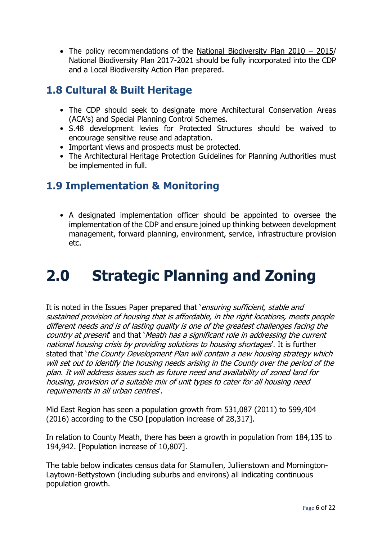The policy recommendations of the [National Biodiversity Plan 2010](http://www.environ.ie/en/Publications/Heritage/NatureConservation/) – 2015/ National Biodiversity Plan 2017-2021 should be fully incorporated into the CDP and a Local Biodiversity Action Plan prepared.

## **1.8 Cultural & Built Heritage**

- The CDP should seek to designate more Architectural Conservation Areas (ACA's) and Special Planning Control Schemes.
- S.48 development levies for Protected Structures should be waived to encourage sensitive reuse and adaptation.
- Important views and prospects must be protected.
- The [Architectural Heritage Protection Guidelines for Planning Authorities](http://www.google.ie/url?sa=t&source=web&cd=1&ved=0CBYQFjAA&url=http%3A%2F%2Fwww.environ.ie%2Fen%2FPublications%2FHeritage%2FArchitecturalHeritage%2FFileDownLoad%2C2202%2Cen.pdf&ei=hPfUTfrcNsGKhQeVr6niCw&usg=AFQjCNEc4-mTEsTraWgE3izPzA1UZkAgpA) must be implemented in full.

## **1.9 Implementation & Monitoring**

• A designated implementation officer should be appointed to oversee the implementation of the CDP and ensure joined up thinking between development management, forward planning, environment, service, infrastructure provision etc.

## **2.0 Strategic Planning and Zoning**

It is noted in the Issues Paper prepared that 'ensuring sufficient, stable and sustained provision of housing that is affordable, in the right locations, meets people different needs and is of lasting quality is one of the greatest challenges facing the country at present and that 'Meath has a significant role in addressing the current national housing crisis by providing solutions to housing shortages'. It is further stated that 'the County Development Plan will contain a new housing strategy which will set out to identify the housing needs arising in the County over the period of the plan. It will address issues such as future need and availability of zoned land for housing, provision of a suitable mix of unit types to cater for all housing need requirements in all urban centres'.

Mid East Region has seen a population growth from 531,087 (2011) to 599,404 (2016) according to the CSO [population increase of 28,317].

In relation to County Meath, there has been a growth in population from 184,135 to 194,942. [Population increase of 10,807].

The table below indicates census data for Stamullen, Jullienstown and Mornington-Laytown-Bettystown (including suburbs and environs) all indicating continuous population growth.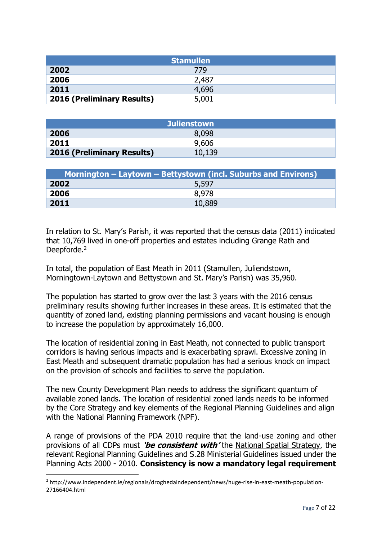| <b>Stamullen</b>                  |       |
|-----------------------------------|-------|
| 2002                              | 779   |
| 2006                              | 2,487 |
| 2011                              | 4,696 |
| <b>2016 (Preliminary Results)</b> | 5,001 |

| <b>Julienstown</b>                |        |  |
|-----------------------------------|--------|--|
| 2006                              | 8,098  |  |
| 2011                              | 9,606  |  |
| <b>2016 (Preliminary Results)</b> | 10,139 |  |

| Mornington – Laytown – Bettystown (incl. Suburbs and Environs) |        |
|----------------------------------------------------------------|--------|
| 2002                                                           | 5,597  |
| 2006                                                           | 8.978  |
| 2011                                                           | 10,889 |

In relation to St. Mary's Parish, it was reported that the census data (2011) indicated that 10,769 lived in one-off properties and estates including Grange Rath and Deepforde.<sup>2</sup>

In total, the population of East Meath in 2011 (Stamullen, Juliendstown, Morningtown-Laytown and Bettystown and St. Mary's Parish) was 35,960.

The population has started to grow over the last 3 years with the 2016 census preliminary results showing further increases in these areas. It is estimated that the quantity of zoned land, existing planning permissions and vacant housing is enough to increase the population by approximately 16,000.

The location of residential zoning in East Meath, not connected to public transport corridors is having serious impacts and is exacerbating sprawl. Excessive zoning in East Meath and subsequent dramatic population has had a serious knock on impact on the provision of schools and facilities to serve the population.

The new County Development Plan needs to address the significant quantum of available zoned lands. The location of residential zoned lands needs to be informed by the Core Strategy and key elements of the Regional Planning Guidelines and align with the National Planning Framework (NPF).

A range of provisions of the PDA 2010 require that the land-use zoning and other provisions of all CDPs must **'be consistent with'** the [National Spatial Strategy,](http://www.irishspatialstrategy.ie/) the relevant Regional Planning Guidelines and S.28 [Ministerial](http://www.environ.ie/en/DevelopmentHousing/PlanningDevelopment/Planning/PlanningGuidance/) Guidelines issued under the Planning Acts 2000 - 2010. **Consistency is now a mandatory legal requirement** 

 $\overline{\phantom{a}}$ 

<sup>2</sup> http://www.independent.ie/regionals/droghedaindependent/news/huge-rise-in-east-meath-population-27166404.html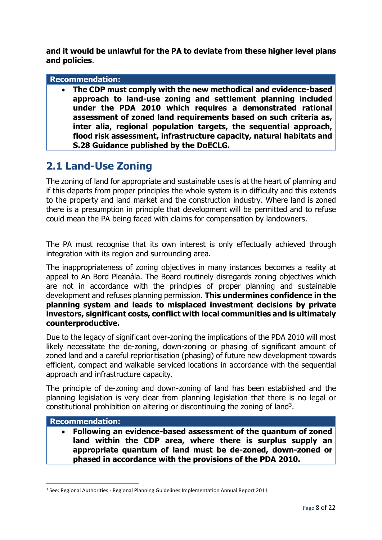**and it would be unlawful for the PA to deviate from these higher level plans and policies**.

#### **Recommendation:**

 **The CDP must comply with the new methodical and evidence-based approach to land-use zoning and settlement planning included under the PDA 2010 which requires a demonstrated rational assessment of zoned land requirements based on such criteria as, inter alia, regional population targets, the sequential approach, flood risk assessment, infrastructure capacity, natural habitats and S.28 Guidance published by the DoECLG.**

### **2.1 Land-Use Zoning**

The zoning of land for appropriate and sustainable uses is at the heart of planning and if this departs from proper principles the whole system is in difficulty and this extends to the property and land market and the construction industry. Where land is zoned there is a presumption in principle that development will be permitted and to refuse could mean the PA being faced with claims for compensation by landowners.

The PA must recognise that its own interest is only effectually achieved through integration with its region and surrounding area.

The inappropriateness of zoning objectives in many instances becomes a reality at appeal to An Bord Pleanála. The Board routinely disregards zoning objectives which are not in accordance with the principles of proper planning and sustainable development and refuses planning permission. **This undermines confidence in the planning system and leads to misplaced investment decisions by private investors, significant costs, conflict with local communities and is ultimately counterproductive.**

Due to the legacy of significant over-zoning the implications of the PDA 2010 will most likely necessitate the de-zoning, down-zoning or phasing of significant amount of zoned land and a careful reprioritisation (phasing) of future new development towards efficient, compact and walkable serviced locations in accordance with the sequential approach and infrastructure capacity.

The principle of de-zoning and down-zoning of land has been established and the planning legislation is very clear from planning legislation that there is no legal or constitutional prohibition on altering or discontinuing the zoning of land<sup>3</sup>.

#### **Recommendation:**

 $\overline{\phantom{a}}$ 

 **Following an evidence-based assessment of the quantum of zoned land within the CDP area, where there is surplus supply an appropriate quantum of land must be de-zoned, down-zoned or phased in accordance with the provisions of the PDA 2010.**

<sup>3</sup> See: Regional Authorities - Regional Planning Guidelines Implementation Annual Report 2011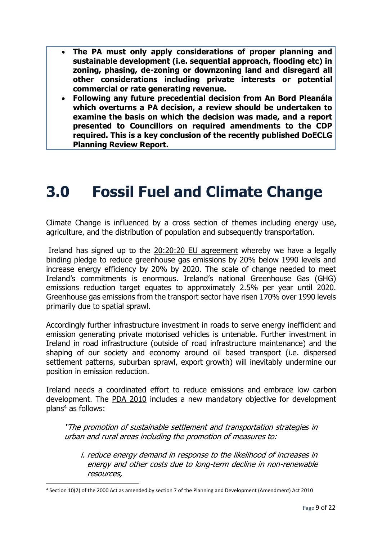- **The PA must only apply considerations of proper planning and sustainable development (i.e. sequential approach, flooding etc) in zoning, phasing, de-zoning or downzoning land and disregard all other considerations including private interests or potential commercial or rate generating revenue.**
- **Following any future precedential decision from An Bord Pleanála which overturns a PA decision, a review should be undertaken to examine the basis on which the decision was made, and a report presented to Councillors on required amendments to the CDP required. This is a key conclusion of the recently published DoECLG Planning Review Report.**

# **3.0 Fossil Fuel and Climate Change**

Climate Change is influenced by a cross section of themes including energy use, agriculture, and the distribution of population and subsequently transportation.

Ireland has signed up to the [20:20:20 EU agreement](http://ec.europa.eu/environment/climat/climate_action.htm) whereby we have a legally binding pledge to reduce greenhouse gas emissions by 20% below 1990 levels and increase energy efficiency by 20% by 2020. The scale of change needed to meet Ireland's commitments is enormous. Ireland's national Greenhouse Gas (GHG) emissions reduction target equates to approximately 2.5% per year until 2020. Greenhouse gas emissions from the transport sector have risen 170% over 1990 levels primarily due to spatial sprawl.

Accordingly further infrastructure investment in roads to serve energy inefficient and emission generating private motorised vehicles is untenable. Further investment in Ireland in road infrastructure (outside of road infrastructure maintenance) and the shaping of our society and economy around oil based transport (i.e. dispersed settlement patterns, suburban sprawl, export growth) will inevitably undermine our position in emission reduction.

Ireland needs a coordinated effort to reduce emissions and embrace low carbon development. The [PDA 2010](http://www.oireachtas.ie/viewdoc.asp?fn=/documents/bills28/bills/2009/3409/b34d09d.pdf) includes a new mandatory objective for development  $plan<sup>4</sup>$  as follows:

"The promotion of sustainable settlement and transportation strategies in urban and rural areas including the promotion of measures to:

i. reduce energy demand in response to the likelihood of increases in energy and other costs due to long-term decline in non-renewable resources,

 $\overline{\phantom{a}}$ 

<sup>4</sup> Section 10(2) of the 2000 Act as amended by section 7 of the Planning and Development (Amendment) Act 2010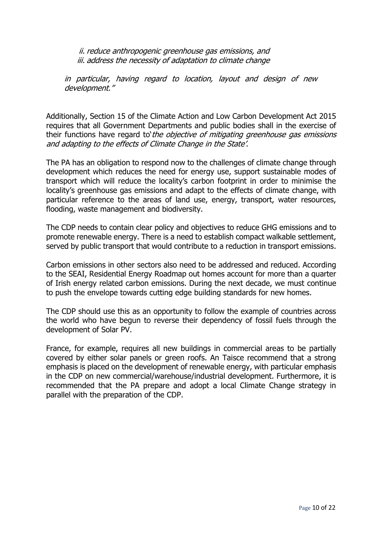ii. reduce anthropogenic greenhouse gas emissions, and iii. address the necessity of adaptation to climate change

in particular, having regard to location, layout and design of new development."

Additionally, Section 15 of the Climate Action and Low Carbon Development Act 2015 requires that all Government Departments and public bodies shall in the exercise of their functions have regard to the objective of mitigating greenhouse gas emissions and adapting to the effects of Climate Change in the State'.

The PA has an obligation to respond now to the challenges of climate change through development which reduces the need for energy use, support sustainable modes of transport which will reduce the locality's carbon footprint in order to minimise the locality's greenhouse gas emissions and adapt to the effects of climate change, with particular reference to the areas of land use, energy, transport, water resources, flooding, waste management and biodiversity.

The CDP needs to contain clear policy and objectives to reduce GHG emissions and to promote renewable energy. There is a need to establish compact walkable settlement, served by public transport that would contribute to a reduction in transport emissions.

Carbon emissions in other sectors also need to be addressed and reduced. According to the SEAI, Residential Energy Roadmap out homes account for more than a quarter of Irish energy related carbon emissions. During the next decade, we must continue to push the envelope towards cutting edge building standards for new homes.

The CDP should use this as an opportunity to follow the example of countries across the world who have begun to reverse their dependency of fossil fuels through the development of Solar PV.

France, for example, requires all new buildings in commercial areas to be partially covered by either solar panels or green roofs. An Taisce recommend that a strong emphasis is placed on the development of renewable energy, with particular emphasis in the CDP on new commercial/warehouse/industrial development. Furthermore, it is recommended that the PA prepare and adopt a local Climate Change strategy in parallel with the preparation of the CDP.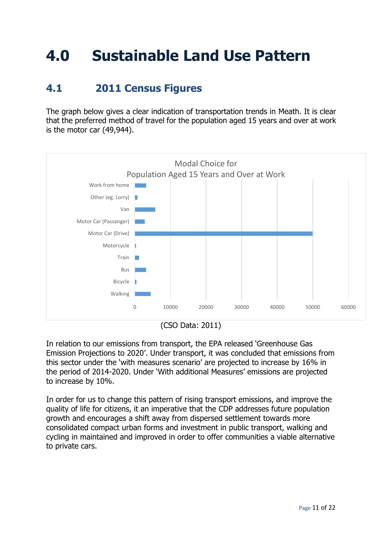# **4.0 Sustainable Land Use Pattern**

## **4.1 2011 Census Figures**

The graph below gives a clear indication of transportation trends in Meath. It is clear that the preferred method of travel for the population aged 15 years and over at work is the motor car (49,944).



In relation to our emissions from transport, the EPA released 'Greenhouse Gas Emission Projections to 2020'. Under transport, it was concluded that emissions from this sector under the 'with measures scenario' are projected to increase by 16% in the period of 2014-2020. Under 'With additional Measures' emissions are projected to increase by 10%.

In order for us to change this pattern of rising transport emissions, and improve the quality of life for citizens, it an imperative that the CDP addresses future population growth and encourages a shift away from dispersed settlement towards more consolidated compact urban forms and investment in public transport, walking and cycling in maintained and improved in order to offer communities a viable alternative to private cars.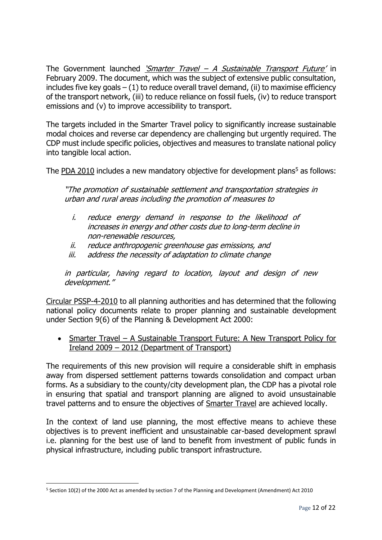The Government launched *'Smarter Travel – [A Sustainable Transp](http://www.smartertravel.ie/)ort Future'* in February 2009. The document, which was the subject of extensive public consultation, includes five key goals  $- (1)$  to reduce overall travel demand, (ii) to maximise efficiency of the transport network, (iii) to reduce reliance on fossil fuels, (iv) to reduce transport emissions and (v) to improve accessibility to transport.

The targets included in the Smarter Travel policy to significantly increase sustainable modal choices and reverse car dependency are challenging but urgently required. The CDP must include specific policies, objectives and measures to translate national policy into tangible local action.

The [PDA 2010](http://www.oireachtas.ie/viewdoc.asp?fn=/documents/bills28/bills/2009/3409/b34d09d.pdf) includes a new mandatory objective for development plans<sup>5</sup> as follows:

"The promotion of sustainable settlement and transportation strategies in urban and rural areas including the promotion of measures to

- i. reduce energy demand in response to the likelihood of increases in energy and other costs due to long-term decline in non-renewable resources,
- ii. reduce anthropogenic greenhouse gas emissions, and
- iii. address the necessity of adaptation to climate change

in particular, having regard to location, layout and design of new development."

[Circular PSSP-4-2010](http://www.irishplanninginstitute.ie/uploads/files/PSSP4-10-Development%20Plans.pdf) to all planning authorities and has determined that the following national policy documents relate to proper planning and sustainable development under Section 9(6) of the Planning & Development Act 2000:

• Smarter Travel – A Sustainable Transport Future: A New Transport Policy for Ireland 2009 – [2012 \(Department of Transport\)](http://www.smartertravel.ie/smarter-travel-policy-document)

The requirements of this new provision will require a considerable shift in emphasis away from dispersed settlement patterns towards consolidation and compact urban forms. As a subsidiary to the county/city development plan, the CDP has a pivotal role in ensuring that spatial and transport planning are aligned to avoid unsustainable travel patterns and to ensure the objectives of Smarter Travel are achieved locally.

In the context of land use planning, the most effective means to achieve these objectives is to prevent inefficient and unsustainable car-based development sprawl i.e. planning for the best use of land to benefit from investment of public funds in physical infrastructure, including public transport infrastructure.

 $\overline{\phantom{a}}$ 

<sup>5</sup> Section 10(2) of the 2000 Act as amended by section 7 of the Planning and Development (Amendment) Act 2010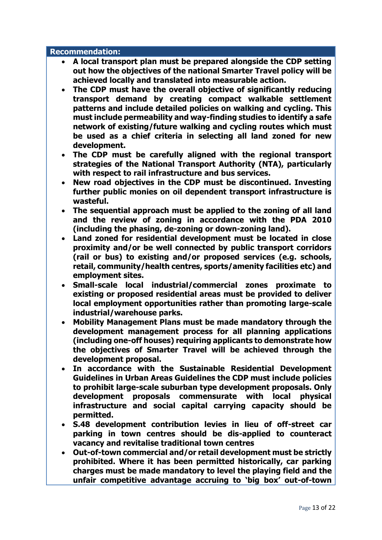#### **Recommendation:**

- **A local transport plan must be prepared alongside the CDP setting out how the objectives of the national Smarter Travel policy will be achieved locally and translated into measurable action.**
- **The CDP must have the overall objective of significantly reducing transport demand by creating compact walkable settlement patterns and include detailed policies on walking and cycling. This must include permeability and way-finding studies to identify a safe network of existing/future walking and cycling routes which must be used as a chief criteria in selecting all land zoned for new development.**
- **The CDP must be carefully aligned with the regional transport strategies of the National Transport Authority (NTA), particularly with respect to rail infrastructure and bus services.**
- **New road objectives in the CDP must be discontinued. Investing further public monies on oil dependent transport infrastructure is wasteful.**
- **The sequential approach must be applied to the zoning of all land and the review of zoning in accordance with the PDA 2010 (including the phasing, de-zoning or down-zoning land).**
- **Land zoned for residential development must be located in close proximity and/or be well connected by public transport corridors (rail or bus) to existing and/or proposed services (e.g. schools, retail, community/health centres, sports/amenity facilities etc) and employment sites.**
- **Small-scale local industrial/commercial zones proximate to existing or proposed residential areas must be provided to deliver local employment opportunities rather than promoting large-scale industrial/warehouse parks.**
- **Mobility Management Plans must be made mandatory through the development management process for all planning applications (including one-off houses) requiring applicants to demonstrate how the objectives of Smarter Travel will be achieved through the development proposal.**
- **In accordance with the Sustainable Residential Development Guidelines in Urban Areas Guidelines the CDP must include policies to prohibit large-scale suburban type development proposals. Only development proposals commensurate with local physical infrastructure and social capital carrying capacity should be permitted.**
- **S.48 development contribution levies in lieu of off-street car parking in town centres should be dis-applied to counteract vacancy and revitalise traditional town centres**
- **Out-of-town commercial and/or retail development must be strictly prohibited. Where it has been permitted historically, car parking charges must be made mandatory to level the playing field and the unfair competitive advantage accruing to 'big box' out-of-town**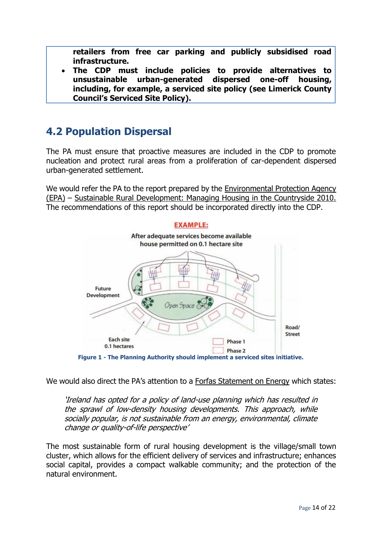**retailers from free car parking and publicly subsidised road infrastructure.**

 **The CDP must include policies to provide alternatives to unsustainable urban-generated dispersed one-off housing, including, for example, a serviced site policy (see Limerick County Council's Serviced Site Policy).**

## **4.2 Population Dispersal**

The PA must ensure that proactive measures are included in the CDP to promote nucleation and protect rural areas from a proliferation of car-dependent dispersed urban-generated settlement.

We would refer the PA to the report prepared by the [Environmental Protection Agency](http://www.epa.ie/)  [\(EPA\)](http://www.epa.ie/) – [Sustainable Rural Development: Managing Housing in the Countryside 2010.](http://erc.epa.ie/safer/iso19115/displayISO19115.jsp?isoID=153) The recommendations of this report should be incorporated directly into the CDP.



We would also direct the PA's attention to a [Forfas Statement on Energy](http://www.forfas.ie/media/ncc091006_statement_energy.pdf) which states:

'Ireland has opted for a policy of land-use planning which has resulted in the sprawl of low-density housing developments. This approach, while socially popular, is not sustainable from an energy, environmental, climate change or quality-of-life perspective'

The most sustainable form of rural housing development is the village/small town cluster, which allows for the efficient delivery of services and infrastructure; enhances social capital, provides a compact walkable community; and the protection of the natural environment.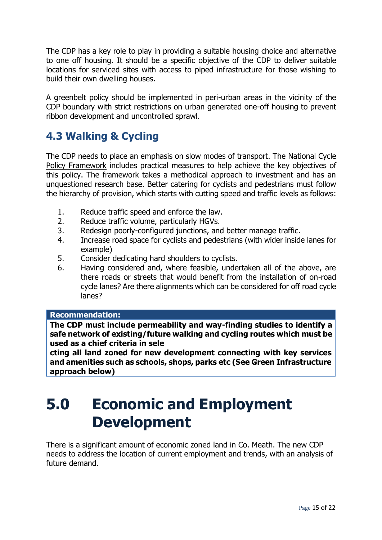The CDP has a key role to play in providing a suitable housing choice and alternative to one off housing. It should be a specific objective of the CDP to deliver suitable locations for serviced sites with access to piped infrastructure for those wishing to build their own dwelling houses.

A greenbelt policy should be implemented in peri-urban areas in the vicinity of the CDP boundary with strict restrictions on urban generated one-off housing to prevent ribbon development and uncontrolled sprawl.

## **4.3 Walking & Cycling**

The CDP needs to place an emphasis on slow modes of transport. The [National Cycle](http://www.smartertravel.ie/download/1/0902%2002%20EnglishNS1274%20Dept.%20of%20Transport_National_Cycle_Policy_v4.pdf)  [Policy Framework](http://www.smartertravel.ie/download/1/0902%2002%20EnglishNS1274%20Dept.%20of%20Transport_National_Cycle_Policy_v4.pdf) includes practical measures to help achieve the key objectives of this policy. The framework takes a methodical approach to investment and has an unquestioned research base. Better catering for cyclists and pedestrians must follow the hierarchy of provision, which starts with cutting speed and traffic levels as follows:

- 1. Reduce traffic speed and enforce the law.
- 2. Reduce traffic volume, particularly HGVs.
- 3. Redesign poorly-configured junctions, and better manage traffic.
- 4. Increase road space for cyclists and pedestrians (with wider inside lanes for example)
- 5. Consider dedicating hard shoulders to cyclists.
- 6. Having considered and, where feasible, undertaken all of the above, are there roads or streets that would benefit from the installation of on-road cycle lanes? Are there alignments which can be considered for off road cycle lanes?

#### **Recommendation:**

**The CDP must include permeability and way-finding studies to identify a safe network of existing/future walking and cycling routes which must be used as a chief criteria in sele**

**cting all land zoned for new development connecting with key services and amenities such as schools, shops, parks etc (See Green Infrastructure approach below)**

## **5.0 Economic and Employment Development**

There is a significant amount of economic zoned land in Co. Meath. The new CDP needs to address the location of current employment and trends, with an analysis of future demand.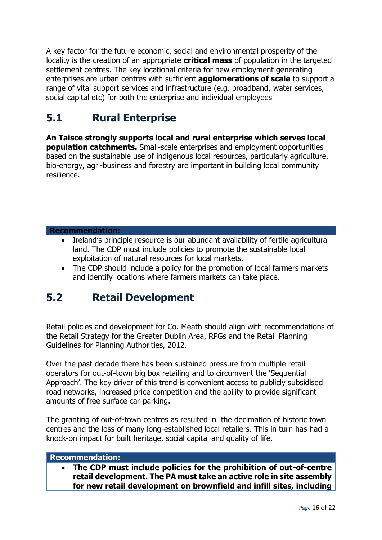A key factor for the future economic, social and environmental prosperity of the locality is the creation of an appropriate **critical mass** of population in the targeted settlement centres. The key locational criteria for new employment generating enterprises are urban centres with sufficient **agglomerations of scale** to support a range of vital support services and infrastructure (e.g. broadband, water services, social capital etc) for both the enterprise and individual employees

## **5.1 Rural Enterprise**

**An Taisce strongly supports local and rural enterprise which serves local population catchments.** Small-scale enterprises and employment opportunities based on the sustainable use of indigenous local resources, particularly agriculture, bio-energy, agri-business and forestry are important in building local community resilience.

#### **Recommendation:**

- Ireland's principle resource is our abundant availability of fertile agricultural land. The CDP must include policies to promote the sustainable local exploitation of natural resources for local markets.
- The CDP should include a policy for the promotion of local farmers markets and identify locations where farmers markets can take place.

### **5.2 Retail Development**

Retail policies and development for Co. Meath should align with recommendations of the Retail Strategy for the Greater Dublin Area, RPGs and the Retail Planning Guidelines for Planning Authorities, 2012.

Over the past decade there has been sustained pressure from multiple retail operators for out-of-town big box retailing and to circumvent the 'Sequential Approach'. The key driver of this trend is convenient access to publicly subsidised road networks, increased price competition and the ability to provide significant amounts of free surface car-parking.

The granting of out-of-town centres as resulted in the decimation of historic town centres and the loss of many long-established local retailers. This in turn has had a knock-on impact for built heritage, social capital and quality of life.

#### **Recommendation:**

 **The CDP must include policies for the prohibition of out-of-centre retail development. The PA must take an active role in site assembly for new retail development on brownfield and infill sites, including**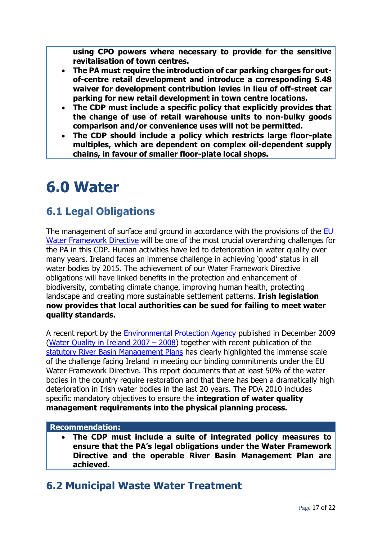**using CPO powers where necessary to provide for the sensitive revitalisation of town centres.**

- **The PA must require the introduction of car parking charges for outof-centre retail development and introduce a corresponding S.48 waiver for development contribution levies in lieu of off-street car parking for new retail development in town centre locations.**
- **The CDP must include a specific policy that explicitly provides that the change of use of retail warehouse units to non-bulky goods comparison and/or convenience uses will not be permitted.**
- **The CDP should include a policy which restricts large floor-plate multiples, which are dependent on complex oil-dependent supply chains, in favour of smaller floor-plate local shops.**

## **6.0 Water**

## **6.1 Legal Obligations**

The management of surface and ground in accordance with the provisions of the EU [Water Framework Directive](http://www.wfdireland.ie/) will be one of the most crucial overarching challenges for the PA in this CDP. Human activities have led to deterioration in water quality over many years. Ireland faces an immense challenge in achieving 'good' status in all water bodies by 2015. The achievement of our Water Framework Directive obligations will have linked benefits in the protection and enhancement of biodiversity, combating climate change, improving human health, protecting landscape and creating more sustainable settlement patterns. **Irish legislation now provides that local authorities can be sued for failing to meet water quality standards.**

A recent report by the [Environmental Protection Agency](http://www.epa.ie/) published in December 2009 [\(Water Quality in Ireland 2007](http://www.epa.ie/downloads/pubs/water/waterqua/name,27541,en.html) – 2008) together with recent publication of the statutory [River Basin Management Plans](http://www.wfdireland.ie/documents.html) has clearly highlighted the immense scale of the challenge facing Ireland in meeting our binding commitments under the EU Water Framework Directive. This report documents that at least 50% of the water bodies in the country require restoration and that there has been a dramatically high deterioration in Irish water bodies in the last 20 years. The PDA 2010 includes specific mandatory objectives to ensure the **integration of water quality management requirements into the physical planning process.**

#### **Recommendation:**

 **The CDP must include a suite of integrated policy measures to ensure that the PA's legal obligations under the Water Framework Directive and the operable River Basin Management Plan are achieved.** 

## **6.2 Municipal Waste Water Treatment**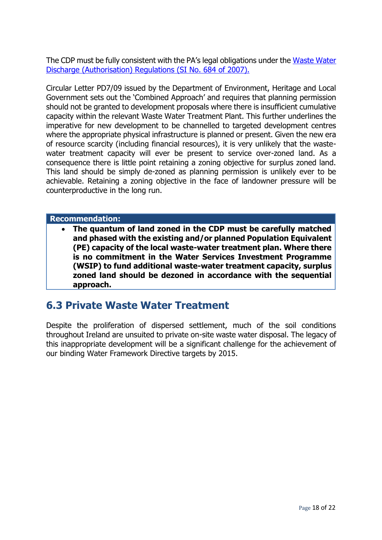The CDP must be fully consistent with the PA's legal obligations under the [Waste Water](http://www.environ.ie/en/Legislation/Environment/Water/FileDownLoad,16869,en.pdf)  [Discharge \(Authorisation\) Regulations \(SI No. 684 of 2007\).](http://www.environ.ie/en/Legislation/Environment/Water/FileDownLoad,16869,en.pdf)

Circular Letter PD7/09 issued by the Department of Environment, Heritage and Local Government sets out the 'Combined Approach' and requires that planning permission should not be granted to development proposals where there is insufficient cumulative capacity within the relevant Waste Water Treatment Plant. This further underlines the imperative for new development to be channelled to targeted development centres where the appropriate physical infrastructure is planned or present. Given the new era of resource scarcity (including financial resources), it is very unlikely that the wastewater treatment capacity will ever be present to service over-zoned land. As a consequence there is little point retaining a zoning objective for surplus zoned land. This land should be simply de-zoned as planning permission is unlikely ever to be achievable. Retaining a zoning objective in the face of landowner pressure will be counterproductive in the long run.

#### **Recommendation:**

 **The quantum of land zoned in the CDP must be carefully matched and phased with the existing and/or planned Population Equivalent (PE) capacity of the local waste-water treatment plan. Where there is no commitment in the Water Services Investment Programme (WSIP) to fund additional waste-water treatment capacity, surplus zoned land should be dezoned in accordance with the sequential approach.**

### **6.3 Private Waste Water Treatment**

Despite the proliferation of dispersed settlement, much of the soil conditions throughout Ireland are unsuited to private on-site waste water disposal. The legacy of this inappropriate development will be a significant challenge for the achievement of our binding Water Framework Directive targets by 2015.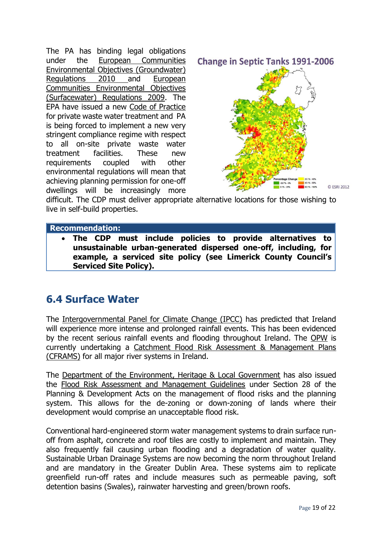The PA has binding legal obligations under the [European Communities](http://www.environ.ie/en/Environment/Water/WaterQuality/GroundwaterRegulations2010/)  [Environmental Objectives \(Groundwater\)](http://www.environ.ie/en/Environment/Water/WaterQuality/GroundwaterRegulations2010/)  [Regulations 2010](http://www.environ.ie/en/Environment/Water/WaterQuality/GroundwaterRegulations2010/) and [European](http://www.environ.ie/en/Environment/Water/WaterQuality/EnvironmentalObjectivesSurfaceWatersRegulations2009/)  [Communities Environmental Objectives](http://www.environ.ie/en/Environment/Water/WaterQuality/EnvironmentalObjectivesSurfaceWatersRegulations2009/)  [\(Surfacewater\) Regulations 2009.](http://www.environ.ie/en/Environment/Water/WaterQuality/EnvironmentalObjectivesSurfaceWatersRegulations2009/) The EPA have issued a new [Code of Practice](http://www.epa.ie/downloads/advice/water/wastewater/code%20of%20practice%20for%20single%20houses/) for private waste water treatment and PA is being forced to implement a new very stringent compliance regime with respect to all on-site private waste water treatment facilities. These new requirements coupled with other environmental regulations will mean that achieving planning permission for one-off dwellings will be increasingly more

**Change in Septic Tanks 1991-2006** 



difficult. The CDP must deliver appropriate alternative locations for those wishing to live in self-build properties.

#### **Recommendation:**

 **The CDP must include policies to provide alternatives to unsustainable urban-generated dispersed one-off, including, for example, a serviced site policy (see Limerick County Council's Serviced Site Policy).**

### **6.4 Surface Water**

The [Intergovernmental Panel for Climate Change \(IPCC\)](http://www.google.ie/url?sa=t&source=web&cd=1&ved=0CCMQFjAA&url=http%3A%2F%2Fwww.ipcc.ch%2F&ei=5s3bTbruGI2WhQeFwKWyDw&usg=AFQjCNFAawLD3GWiyGx0HC9l_uj-MVOiXQ) has predicted that Ireland will experience more intense and prolonged rainfall events. This has been evidenced by the recent serious rainfall events and flooding throughout Ireland. The [OPW](http://www.opw.ie/) is currently undertaking a [Catchment Flood Risk Assessment & Management Plans](http://www.opw.ie/en/FloodRiskManagement/)  [\(CFRAMS\)](http://www.opw.ie/en/FloodRiskManagement/) for all major river systems in Ireland.

The [Department of the Environment, Heritage & Local Government](http://www.environ.ie/en/Environment/Water/WaterQuality/GroundwaterRegulations2010/) has also issued the [Flood Risk Assessment and Management Guidelines](http://www.google.ie/url?sa=t&source=web&cd=2&ved=0CCEQFjAB&url=http%3A%2F%2Fwww.environ.ie%2Fen%2FPublications%2FDevelopmentandHousing%2FPlanning%2FFileDownLoad%2C21709%2Cen.pdf&ei=yc3bTavfFJGwhQe8w4WlDw&usg=AFQjCNFjziZwZo2qC_UBp-rpylHb0nPu_A) under Section 28 of the Planning & Development Acts on the management of flood risks and the planning system. This allows for the de-zoning or down-zoning of lands where their development would comprise an unacceptable flood risk.

Conventional hard-engineered storm water management systems to drain surface runoff from asphalt, concrete and roof tiles are costly to implement and maintain. They also frequently fail causing urban flooding and a degradation of water quality. Sustainable Urban Drainage Systems are now becoming the norm throughout Ireland and are mandatory in the Greater Dublin Area. These systems aim to replicate greenfield run-off rates and include measures such as permeable paving, soft detention basins (Swales), rainwater harvesting and green/brown roofs.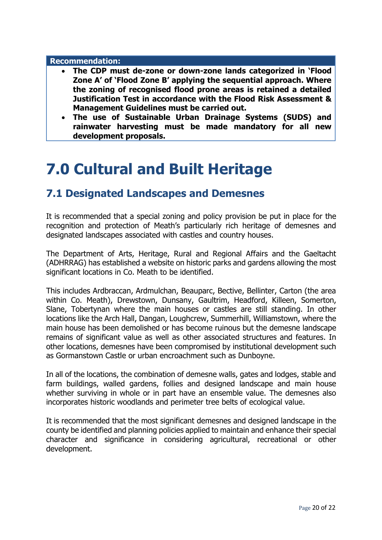#### **Recommendation:**

- **The CDP must de-zone or down-zone lands categorized in 'Flood Zone A' of 'Flood Zone B' applying the sequential approach. Where the zoning of recognised flood prone areas is retained a detailed Justification Test in accordance with the Flood Risk Assessment & Management Guidelines must be carried out.**
- **The use of Sustainable Urban Drainage Systems (SUDS) and rainwater harvesting must be made mandatory for all new development proposals.**

## **7.0 Cultural and Built Heritage**

### **7.1 Designated Landscapes and Demesnes**

It is recommended that a special zoning and policy provision be put in place for the recognition and protection of Meath's particularly rich heritage of demesnes and designated landscapes associated with castles and country houses.

The Department of Arts, Heritage, Rural and Regional Affairs and the Gaeltacht (ADHRRAG) has established a website on historic parks and gardens allowing the most significant locations in Co. Meath to be identified.

This includes Ardbraccan, Ardmulchan, Beauparc, Bective, Bellinter, Carton (the area within Co. Meath), Drewstown, Dunsany, Gaultrim, Headford, Killeen, Somerton, Slane, Tobertynan where the main houses or castles are still standing. In other locations like the Arch Hall, Dangan, Loughcrew, Summerhill, Williamstown, where the main house has been demolished or has become ruinous but the demesne landscape remains of significant value as well as other associated structures and features. In other locations, demesnes have been compromised by institutional development such as Gormanstown Castle or urban encroachment such as Dunboyne.

In all of the locations, the combination of demesne walls, gates and lodges, stable and farm buildings, walled gardens, follies and designed landscape and main house whether surviving in whole or in part have an ensemble value. The demesnes also incorporates historic woodlands and perimeter tree belts of ecological value.

It is recommended that the most significant demesnes and designed landscape in the county be identified and planning policies applied to maintain and enhance their special character and significance in considering agricultural, recreational or other development.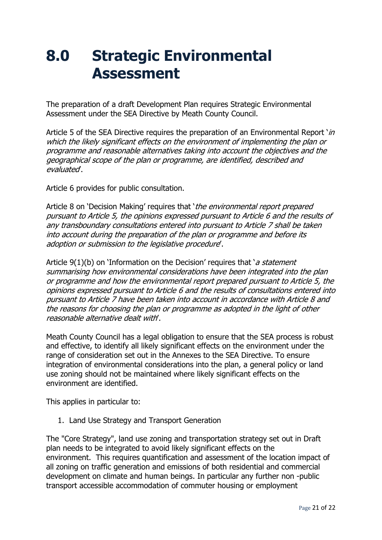## **8.0 Strategic Environmental Assessment**

The preparation of a draft Development Plan requires Strategic Environmental Assessment under the SEA Directive by Meath County Council.

Article 5 of the SEA Directive requires the preparation of an Environmental Report  $\sin$ which the likely significant effects on the environment of implementing the plan or programme and reasonable alternatives taking into account the objectives and the geographical scope of the plan or programme, are identified, described and evaluated'.

Article 6 provides for public consultation.

Article 8 on 'Decision Making' requires that 'the environmental report prepared pursuant to Article 5, the opinions expressed pursuant to Article 6 and the results of any transboundary consultations entered into pursuant to Article 7 shall be taken into account during the preparation of the plan or programme and before its adoption or submission to the legislative procedure'.

Article  $9(1)(b)$  on 'Information on the Decision' requires that 'a statement summarising how environmental considerations have been integrated into the plan or programme and how the environmental report prepared pursuant to Article 5, the opinions expressed pursuant to Article 6 and the results of consultations entered into pursuant to Article 7 have been taken into account in accordance with Article 8 and the reasons for choosing the plan or programme as adopted in the light of other reasonable alternative dealt with'.

Meath County Council has a legal obligation to ensure that the SEA process is robust and effective, to identify all likely significant effects on the environment under the range of consideration set out in the Annexes to the SEA Directive. To ensure integration of environmental considerations into the plan, a general policy or land use zoning should not be maintained where likely significant effects on the environment are identified.

This applies in particular to:

1. Land Use Strategy and Transport Generation

The "Core Strategy", land use zoning and transportation strategy set out in Draft plan needs to be integrated to avoid likely significant effects on the environment. This requires quantification and assessment of the location impact of all zoning on traffic generation and emissions of both residential and commercial development on climate and human beings. In particular any further non -public transport accessible accommodation of commuter housing or employment